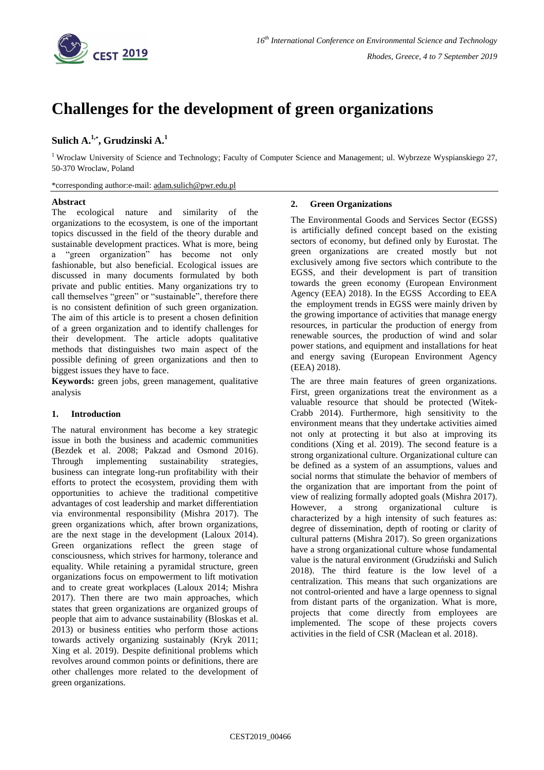

# **Challenges for the development of green organizations**

## **Sulich A.1,\* , Grudzinski A.<sup>1</sup>**

<sup>1</sup> Wroclaw University of Science and Technology; Faculty of Computer Science and Management; ul. Wybrzeze Wyspianskiego 27, 50-370 Wroclaw, Poland

\*corresponding author:e-mail: [adam.sulich@pwr.edu.pl](mailto:adam.sulich@pwr.edu.pl)

## **Abstract**

The ecological nature and similarity of the organizations to the ecosystem, is one of the important topics discussed in the field of the theory durable and sustainable development practices. What is more, being a "green organization" has become not only fashionable, but also beneficial. Ecological issues are discussed in many documents formulated by both private and public entities. Many organizations try to call themselves "green" or "sustainable", therefore there is no consistent definition of such green organization. The aim of this article is to present a chosen definition of a green organization and to identify challenges for their development. The article adopts qualitative methods that distinguishes two main aspect of the possible defining of green organizations and then to biggest issues they have to face.

**Keywords:** green jobs, green management, qualitative analysis

## **1. Introduction**

The natural environment has become a key strategic issue in both the business and academic communities (Bezdek et al. 2008; Pakzad and Osmond 2016). Through implementing sustainability strategies, business can integrate long-run profitability with their efforts to protect the ecosystem, providing them with opportunities to achieve the traditional competitive advantages of cost leadership and market differentiation via environmental responsibility (Mishra 2017). The green organizations which, after brown organizations, are the next stage in the development (Laloux 2014). Green organizations reflect the green stage of consciousness, which strives for harmony, tolerance and equality. While retaining a pyramidal structure, green organizations focus on empowerment to lift motivation and to create great workplaces (Laloux 2014; Mishra 2017). Then there are two main approaches, which states that green organizations are organized groups of people that aim to advance sustainability (Bloskas et al. 2013) or business entities who perform those actions towards actively organizing sustainably (Kryk 2011; Xing et al. 2019). Despite definitional problems which revolves around common points or definitions, there are other challenges more related to the development of green organizations.

## **2. Green Organizations**

The Environmental Goods and Services Sector (EGSS) is artificially defined concept based on the existing sectors of economy, but defined only by Eurostat. The green organizations are created mostly but not exclusively among five sectors which contribute to the EGSS, and their development is part of transition towards the green economy (European Environment Agency (EEA) 2018). In the EGSS According to EEA the employment trends in EGSS were mainly driven by the growing importance of activities that manage energy resources, in particular the production of energy from renewable sources, the production of wind and solar power stations, and equipment and installations for heat and energy saving (European Environment Agency (EEA) 2018).

The are three main features of green organizations. First, green organizations treat the environment as a valuable resource that should be protected (Witek-Crabb 2014). Furthermore, high sensitivity to the environment means that they undertake activities aimed not only at protecting it but also at improving its conditions (Xing et al. 2019). The second feature is a strong organizational culture. Organizational culture can be defined as a system of an assumptions, values and social norms that stimulate the behavior of members of the organization that are important from the point of view of realizing formally adopted goals (Mishra 2017). However, a strong organizational culture is characterized by a high intensity of such features as: degree of dissemination, depth of rooting or clarity of cultural patterns (Mishra 2017). So green organizations have a strong organizational culture whose fundamental value is the natural environment (Grudziński and Sulich 2018). The third feature is the low level of a centralization. This means that such organizations are not control-oriented and have a large openness to signal from distant parts of the organization. What is more, projects that come directly from employees are implemented. The scope of these projects covers activities in the field of CSR (Maclean et al. 2018).